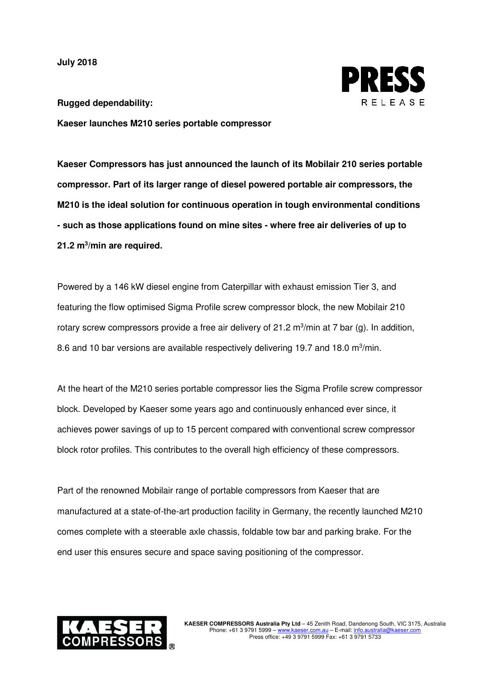**July 2018**



**Rugged dependability: Kaeser launches M210 series portable compressor** 

**Kaeser Compressors has just announced the launch of its Mobilair 210 series portable compressor. Part of its larger range of diesel powered portable air compressors, the M210 is the ideal solution for continuous operation in tough environmental conditions - such as those applications found on mine sites - where free air deliveries of up to 21.2 m<sup>3</sup> /min are required.** 

Powered by a 146 kW diesel engine from Caterpillar with exhaust emission Tier 3, and featuring the flow optimised Sigma Profile screw compressor block, the new Mobilair 210 rotary screw compressors provide a free air delivery of 21.2 m<sup>3</sup>/min at 7 bar (g). In addition, 8.6 and 10 bar versions are available respectively delivering 19.7 and 18.0 m $\frac{3}{min}$ .

At the heart of the M210 series portable compressor lies the Sigma Profile screw compressor block. Developed by Kaeser some years ago and continuously enhanced ever since, it achieves power savings of up to 15 percent compared with conventional screw compressor block rotor profiles. This contributes to the overall high efficiency of these compressors.

Part of the renowned Mobilair range of portable compressors from Kaeser that are manufactured at a state-of-the-art production facility in Germany, the recently launched M210 comes complete with a steerable axle chassis, foldable tow bar and parking brake. For the end user this ensures secure and space saving positioning of the compressor.

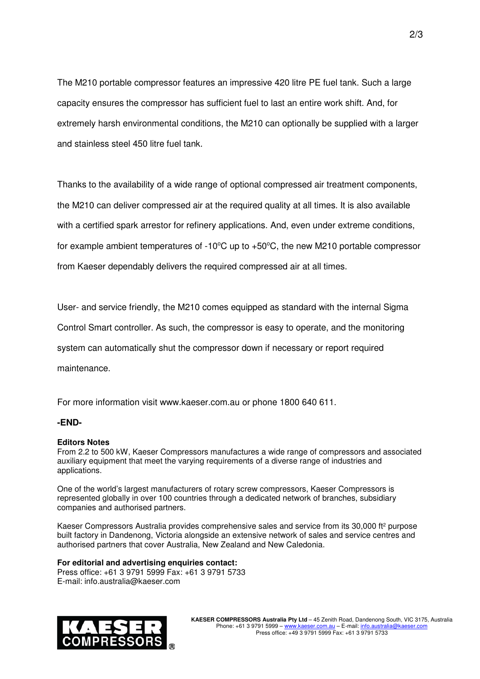The M210 portable compressor features an impressive 420 litre PE fuel tank. Such a large capacity ensures the compressor has sufficient fuel to last an entire work shift. And, for extremely harsh environmental conditions, the M210 can optionally be supplied with a larger and stainless steel 450 litre fuel tank.

Thanks to the availability of a wide range of optional compressed air treatment components, the M210 can deliver compressed air at the required quality at all times. It is also available with a certified spark arrestor for refinery applications. And, even under extreme conditions, for example ambient temperatures of  $-10^{\circ}$ C up to  $+50^{\circ}$ C, the new M210 portable compressor from Kaeser dependably delivers the required compressed air at all times.

User- and service friendly, the M210 comes equipped as standard with the internal Sigma

Control Smart controller. As such, the compressor is easy to operate, and the monitoring

system can automatically shut the compressor down if necessary or report required

maintenance.

For more information visit www.kaeser.com.au or phone 1800 640 611.

## **-END-**

## **Editors Notes**

From 2.2 to 500 kW, Kaeser Compressors manufactures a wide range of compressors and associated auxiliary equipment that meet the varying requirements of a diverse range of industries and applications.

One of the world's largest manufacturers of rotary screw compressors, Kaeser Compressors is represented globally in over 100 countries through a dedicated network of branches, subsidiary companies and authorised partners.

Kaeser Compressors Australia provides comprehensive sales and service from its 30,000 ft<sup>2</sup> purpose built factory in Dandenong, Victoria alongside an extensive network of sales and service centres and authorised partners that cover Australia, New Zealand and New Caledonia.

## **For editorial and advertising enquiries contact:**

Press office: +61 3 9791 5999 Fax: +61 3 9791 5733 E-mail: info.australia@kaeser.com